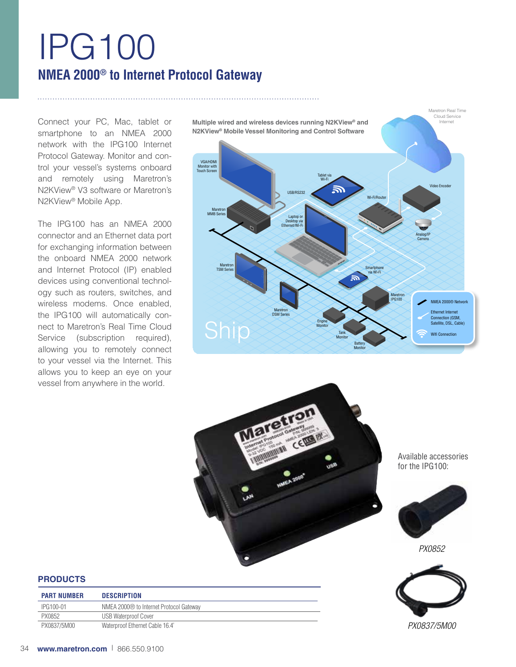# IPG100 **NMEA 2000® to Internet Protocol Gateway**

Connect your PC, Mac, tablet or smartphone to an NMEA 2000 network with the IPG100 Internet Protocol Gateway. Monitor and control your vessel's systems onboard and remotely using Maretron's N2KView® V3 software or Maretron's N2KView® Mobile App.

The IPG100 has an NMEA 2000 connector and an Ethernet data port for exchanging information between the onboard NMEA 2000 network and Internet Protocol (IP) enabled devices using conventional technology such as routers, switches, and wireless modems. Once enabled, the IPG100 will automatically connect to Maretron's Real Time Cloud Service (subscription required), allowing you to remotely connect to your vessel via the Internet. This allows you to keep an eye on your vessel from anywhere in the world.

Tablet via Wi-Fi VGA/HDMI Monitor with Touch Screen Maretron MMB Series Maretron TSM Series Maretron DSM Series Engine **Monitor** Tank **Monitor** Maretron<br>IPG100 Smartphone via Wi-Fi Laptop Desktop via Ethernet/Wi-Fi Wi-Fi/Route Video Encode Analog/IP Camera USB/RS23 **Monitor**  Maretron Real Time Cloud Service **Multiple wired and wireless devices running N2KView® and N2KView® Mobile Vessel Monitoring and Control Software** NMEA 2000® Network Ethernet Internet Connection (GSM, Satellite, DSL, Cable) Wifi Connection



Available accessories for the IPG100:



*PX0852*



*PX0837/5M00*

## **PRODUCTS**

| <b>PART NUMBER</b> | <b>DESCRIPTION</b>                      |
|--------------------|-----------------------------------------|
| IPG100-01          | NMEA 2000® to Internet Protocol Gateway |
| PX0852             | <b>USB Waterproof Cover</b>             |
| PX0837/5M00        | Waterproof Ethernet Cable 16.4'         |